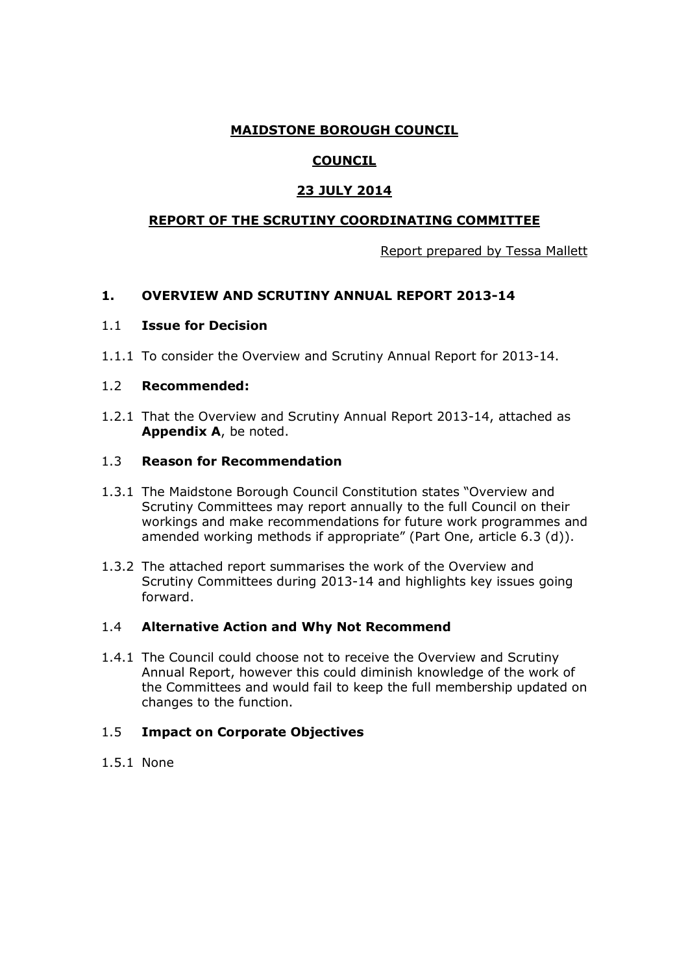## **MAIDSTONE BOROUGH COUNCIL**

# **COUNCIL**

## **23 JULY 2014**

## **REPORT OF THE SCRUTINY COORDINATING COMMITTEE**

Report prepared by Tessa Mallett

## **1. OVERVIEW AND SCRUTINY ANNUAL REPORT 2013-14**

### 1.1 **Issue for Decision**

1.1.1 To consider the Overview and Scrutiny Annual Report for 2013-14.

#### 1.2 **Recommended:**

1.2.1 That the Overview and Scrutiny Annual Report 2013-14, attached as **Appendix A**, be noted.

#### 1.3 **Reason for Recommendation**

- 1.3.1 The Maidstone Borough Council Constitution states "Overview and Scrutiny Committees may report annually to the full Council on their workings and make recommendations for future work programmes and amended working methods if appropriate" (Part One, article 6.3 (d)).
- 1.3.2 The attached report summarises the work of the Overview and Scrutiny Committees during 2013-14 and highlights key issues going forward.

#### 1.4 **Alternative Action and Why Not Recommend**

1.4.1 The Council could choose not to receive the Overview and Scrutiny Annual Report, however this could diminish knowledge of the work of the Committees and would fail to keep the full membership updated on changes to the function.

#### 1.5 **Impact on Corporate Objectives**

1.5.1 None